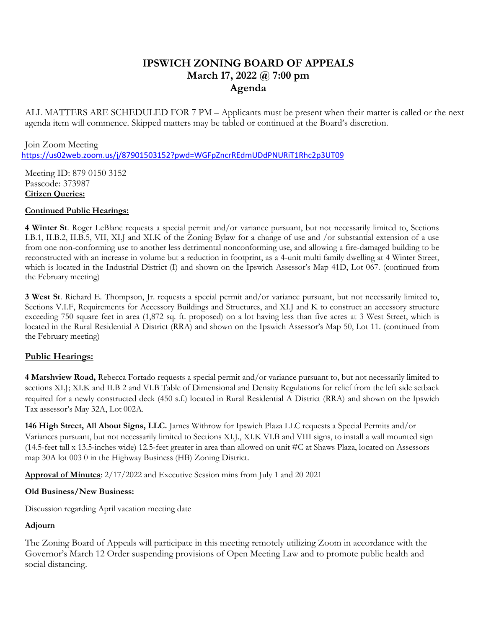# **IPSWICH ZONING BOARD OF APPEALS March 17, 2022 @ 7:00 pm Agenda**

ALL MATTERS ARE SCHEDULED FOR 7 PM – Applicants must be present when their matter is called or the next agenda item will commence. Skipped matters may be tabled or continued at the Board's discretion.

Join Zoom Meeting <https://us02web.zoom.us/j/87901503152?pwd=WGFpZncrREdmUDdPNURiT1Rhc2p3UT09>

Meeting ID: 879 0150 3152 Passcode: 373987 **Citizen Queries:** 

### **Continued Public Hearings:**

**4 Winter St**. Roger LeBlanc requests a special permit and/or variance pursuant, but not necessarily limited to, Sections I.B.1, II.B.2, II.B.5, VII, XI.J and XI.K of the Zoning Bylaw for a change of use and /or substantial extension of a use from one non-conforming use to another less detrimental nonconforming use, and allowing a fire-damaged building to be reconstructed with an increase in volume but a reduction in footprint, as a 4-unit multi family dwelling at 4 Winter Street, which is located in the Industrial District (I) and shown on the Ipswich Assessor's Map 41D, Lot 067. (continued from the February meeting)

**3 West St**. Richard E. Thompson, Jr. requests a special permit and/or variance pursuant, but not necessarily limited to, Sections V.I.F, Requirements for Accessory Buildings and Structures, and XI.J and K to construct an accessory structure exceeding 750 square feet in area (1,872 sq. ft. proposed) on a lot having less than five acres at 3 West Street, which is located in the Rural Residential A District (RRA) and shown on the Ipswich Assessor's Map 50, Lot 11. (continued from the February meeting)

## **Public Hearings:**

**4 Marshview Road,** Rebecca Fortado requests a special permit and/or variance pursuant to, but not necessarily limited to sections XI.J; XI.K and II.B 2 and VI.B Table of Dimensional and Density Regulations for relief from the left side setback required for a newly constructed deck (450 s.f.) located in Rural Residential A District (RRA) and shown on the Ipswich Tax assessor's May 32A, Lot 002A.

**146 High Street, All About Signs, LLC.** James Withrow for Ipswich Plaza LLC requests a Special Permits and/or Variances pursuant, but not necessarily limited to Sections XI.J., XI.K VI.B and VIII signs, to install a wall mounted sign (14.5-feet tall x 13.5-inches wide) 12.5-feet greater in area than allowed on unit #C at Shaws Plaza, located on Assessors map 30A lot 003 0 in the Highway Business (HB) Zoning District.

**Approval of Minutes**: 2/17/2022 and Executive Session mins from July 1 and 20 2021

## **Old Business/New Business:**

Discussion regarding April vacation meeting date

## **Adjourn**

The Zoning Board of Appeals will participate in this meeting remotely utilizing Zoom in accordance with the Governor's March 12 Order suspending provisions of Open Meeting Law and to promote public health and social distancing.